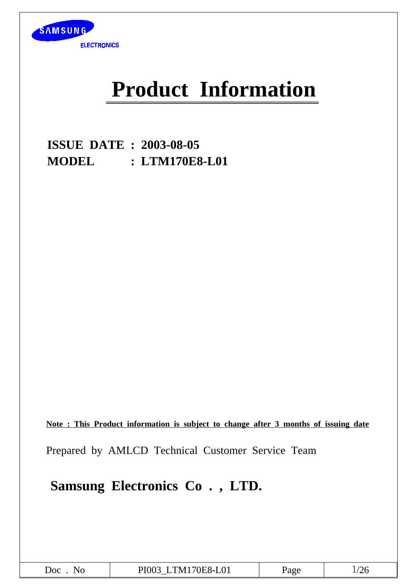

# **Product Information**

**ISSUE DATE : 2003-08-05 MODEL : LTM170E8-L01**

**Note : This Product information is subject to change after 3 months of issuing date**

Prepared by AMLCD Technical Customer Service Team

**Samsung Electronics Co . , LTD.**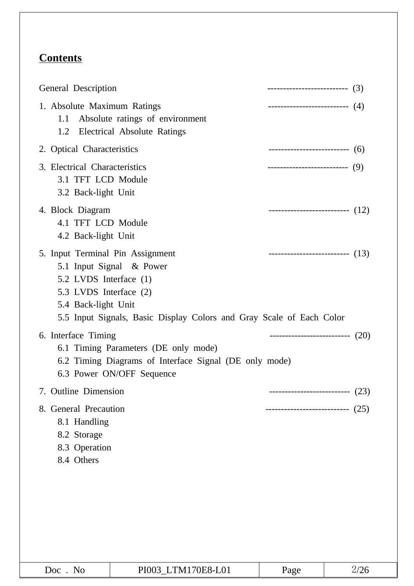# **Contents**

| General Description                                                                                                                                                                                             | --------------------------- (3)      |      |
|-----------------------------------------------------------------------------------------------------------------------------------------------------------------------------------------------------------------|--------------------------------------|------|
| 1. Absolute Maximum Ratings<br>Absolute ratings of environment<br>1.1<br><b>Electrical Absolute Ratings</b><br>1.2                                                                                              | ------------------------------ $(4)$ |      |
| 2. Optical Characteristics                                                                                                                                                                                      | -------------------------------- (6) |      |
| 3. Electrical Characteristics<br>3.1 TFT LCD Module<br>3.2 Back-light Unit                                                                                                                                      | ---------------------------- (9)     |      |
| 4. Block Diagram<br>4.1 TFT LCD Module<br>4.2 Back-light Unit                                                                                                                                                   | ----------------------------- $(12)$ |      |
| 5. Input Terminal Pin Assignment<br>5.1 Input Signal & Power<br>5.2 LVDS Interface (1)<br>5.3 LVDS Interface (2)<br>5.4 Back-light Unit<br>5.5 Input Signals, Basic Display Colors and Gray Scale of Each Color | ----------------------------- $(13)$ |      |
| 6. Interface Timing<br>6.1 Timing Parameters (DE only mode)<br>6.2 Timing Diagrams of Interface Signal (DE only mode)<br>6.3 Power ON/OFF Sequence                                                              | ---------------------------- (20)    |      |
| 7. Outline Dimension                                                                                                                                                                                            |                                      | (23) |
| 8. General Precaution<br>8.1 Handling<br>8.2 Storage<br>8.3 Operation<br>8.4 Others                                                                                                                             | -------------------------            | (25) |
|                                                                                                                                                                                                                 |                                      |      |

| No<br>Doc. | PI003 LTM170E8-L01 | Page | 2/26 |
|------------|--------------------|------|------|
|------------|--------------------|------|------|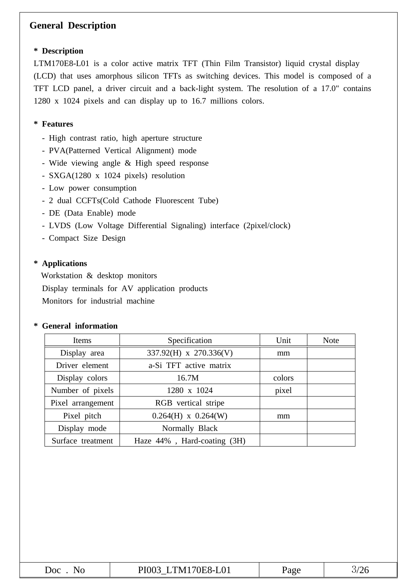### **General Description**

#### **\* Description**

LTM170E8-L01 is a color active matrix TFT (Thin Film Transistor) liquid crystal display (LCD) that uses amorphous silicon TFTs as switching devices. This model is composed of a TFT LCD panel, a driver circuit and a back-light system. The resolution of a 17.0" contains 1280 x 1024 pixels and can display up to 16.7 millions colors.

#### **\* Features**

- High contrast ratio, high aperture structure
- PVA(Patterned Vertical Alignment) mode
- Wide viewing angle & High speed response
- SXGA(1280 x 1024 pixels) resolution
- Low power consumption
- 2 dual CCFTs(Cold Cathode Fluorescent Tube)
- DE (Data Enable) mode
- LVDS (Low Voltage Differential Signaling) interface (2pixel/clock)
- Compact Size Design

#### **\* Applications**

Workstation & desktop monitors Display terminals for AV application products Monitors for industrial machine

#### **\* General information**

| Items             | Specification               | Unit   | <b>Note</b> |
|-------------------|-----------------------------|--------|-------------|
| Display area      | 337.92(H) x 270.336(V)      | mm     |             |
| Driver element    | a-Si TFT active matrix      |        |             |
| Display colors    | 16.7M                       | colors |             |
| Number of pixels  | 1280 x 1024                 | pixel  |             |
| Pixel arrangement | RGB vertical stripe         |        |             |
| Pixel pitch       | $0.264(H)$ x $0.264(W)$     | mm     |             |
| Display mode      | Normally Black              |        |             |
| Surface treatment | Haze 44%, Hard-coating (3H) |        |             |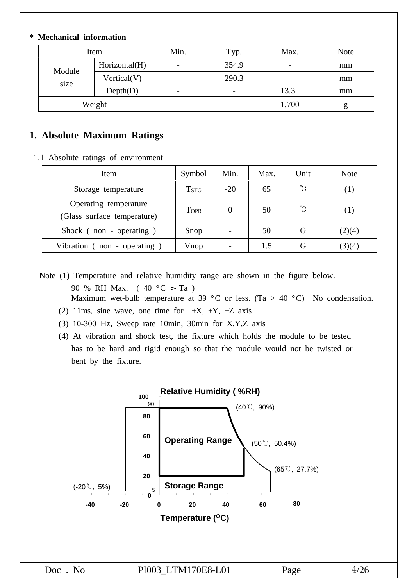#### **\* Mechanical information**

| Item   |               | Min.                     | Typ.                     | Max.                     | <b>Note</b> |
|--------|---------------|--------------------------|--------------------------|--------------------------|-------------|
| Module | Horizontal(H) |                          | 354.9                    | $\overline{\phantom{0}}$ | mm          |
|        | Vertical(V)   | $\overline{\phantom{0}}$ | 290.3                    | $\overline{\phantom{0}}$ | mm          |
| size   | Depth(D)      | $\overline{\phantom{0}}$ | $\overline{\phantom{0}}$ | 13.3                     | mm          |
|        | Weight        | $\overline{\phantom{0}}$ | $\overline{\phantom{0}}$ | 1,700                    | g           |

#### **1. Absolute Maximum Ratings**

1.1 Absolute ratings of environment

| Item                                                 | Symbol      | Min.     | Max. | Unit | <b>Note</b> |
|------------------------------------------------------|-------------|----------|------|------|-------------|
| Storage temperature                                  | <b>TSTG</b> | $-20$    | 65   | °C   | ( 1 )       |
| Operating temperature<br>(Glass surface temperature) | <b>TOPR</b> | $\Omega$ | 50   | °C   | (1)         |
| Shock (non - operating)                              | Snop        |          | 50   | G    | (2)(4)      |
| Vibration (non - operating)                          | Vnop        |          | 1.5  | G    | (3)(4)      |

Note (1) Temperature and relative humidity range are shown in the figure below. 90 % RH Max. (  $40 °C \geq Ta$  ) Maximum wet-bulb temperature at 39 °C or less. (Ta > 40 °C) No condensation.

- (2) 11ms, sine wave, one time for  $\pm X$ ,  $\pm Y$ ,  $\pm Z$  axis
- (3) 10-300 Hz, Sweep rate 10min, 30min for X,Y,Z axis
- (4) At vibration and shock test, the fixture which holds the module to be tested has to be hard and rigid enough so that the module would not be twisted or bent by the fixture.

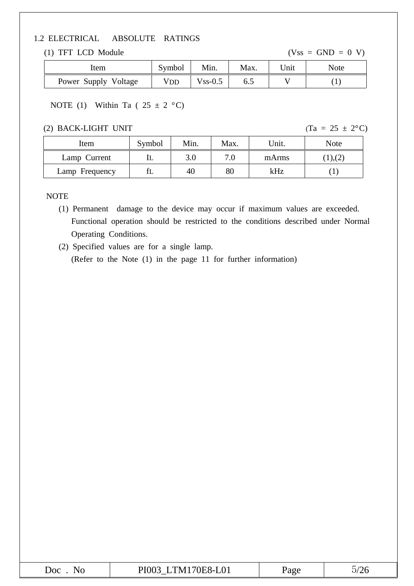#### 1.2 ELECTRICAL ABSOLUTE RATINGS

#### (1) TFT LCD Module  $(Vss = GND = 0 V)$

| Item                 | Symbol | Min.       | Max. | Unit | <b>Note</b> |
|----------------------|--------|------------|------|------|-------------|
| Power Supply Voltage | VDD    | $V$ ss-0.5 | ნ.პ  |      |             |

#### NOTE (1) Within Ta (  $25 \pm 2$  °C)

#### (2) BACK-LIGHT UNIT (Ta =  $25 \pm 2$ °C)

| Item           | Symbol | Min. | Max. | Unit. | Note    |
|----------------|--------|------|------|-------|---------|
| Lamp Current   |        | 3.0  | 7.0  | mArms | (1),(2) |
| Lamp Frequency |        | 40   | 80   | kHz   |         |

#### NOTE

(1) Permanent damage to the device may occur if maximum values are exceeded. Functional operation should be restricted to the conditions described under Normal Operating Conditions.

(2) Specified values are for a single lamp. (Refer to the Note (1) in the page 11 for further information)

| Doc<br>◥◡ | E8-L01<br>۱н<br>N<br>1100<br>1.1111<br>$\overline{\phantom{a}}$ | ה מי<br>$\cdots$ | ∠∪ |
|-----------|-----------------------------------------------------------------|------------------|----|
|           |                                                                 |                  |    |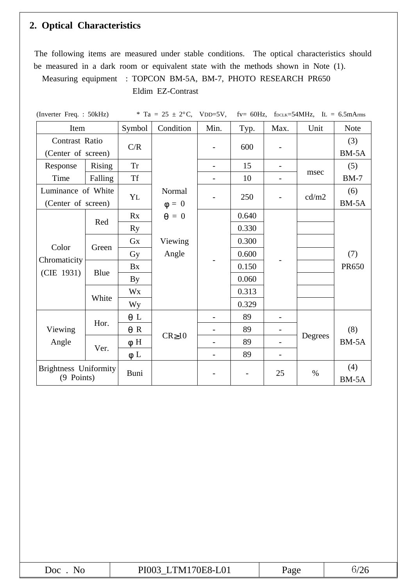# **2. Optical Characteristics**

The following items are measured under stable conditions. The optical characteristics should be measured in a dark room or equivalent state with the methods shown in Note (1).

Measuring equipment : TOPCON BM-5A, BM-7, PHOTO RESEARCH PR650

Eldim EZ-Contrast

| (Inverter Freq.: 50kHz)                    |         |            | * Ta = $25 \pm 2$ °C, VDD=5V, |      |       |      | fv= 60Hz, $f_{DCLK}$ =54MHz, $I_L$ = 6.5mArms |              |  |  |              |
|--------------------------------------------|---------|------------|-------------------------------|------|-------|------|-----------------------------------------------|--------------|--|--|--------------|
| Item                                       |         | Symbol     | Condition                     | Min. | Typ.  | Max. | Unit                                          | <b>Note</b>  |  |  |              |
| Contrast Ratio                             |         | C/R        |                               |      | 600   |      |                                               | (3)          |  |  |              |
| (Center of screen)                         |         |            |                               |      |       |      |                                               | BM-5A        |  |  |              |
| Response                                   | Rising  | <b>Tr</b>  |                               |      | 15    |      |                                               | (5)          |  |  |              |
| Time                                       | Falling | <b>Tf</b>  |                               |      | 10    | -    | msec                                          | $BM-7$       |  |  |              |
| Luminance of White                         |         | YL         | Normal                        |      | 250   |      | cd/m2                                         | (6)          |  |  |              |
| (Center of screen)                         |         |            | $\Phi = 0$                    |      |       |      |                                               | $BM-5A$      |  |  |              |
|                                            | Red     | Rx         | $\theta = 0$                  |      | 0.640 |      |                                               |              |  |  |              |
|                                            |         | <b>Ry</b>  |                               |      | 0.330 |      |                                               |              |  |  |              |
| Color<br>Chromaticity<br>(CIE 1931)        |         | Gx         | Viewing                       |      | 0.300 |      |                                               |              |  |  |              |
|                                            | Green   | Gy         | Angle                         |      | 0.600 |      |                                               | (7)          |  |  |              |
|                                            | Blue    | Bx         |                               |      |       |      |                                               | 0.150        |  |  | <b>PR650</b> |
|                                            |         | By         |                               |      | 0.060 |      |                                               |              |  |  |              |
|                                            |         | Wx         |                               |      | 0.313 |      |                                               |              |  |  |              |
|                                            | White   | <b>Wy</b>  |                               |      | 0.329 |      |                                               |              |  |  |              |
|                                            | Hor.    | $\theta$ L |                               |      | 89    |      |                                               |              |  |  |              |
| Viewing                                    |         | $\theta$ R |                               |      | 89    |      |                                               | (8)          |  |  |              |
| Angle                                      |         | $\phi$ H   | $CR \ge 10$                   |      | 89    |      | Degrees                                       | $BM-5A$      |  |  |              |
|                                            | Ver.    | $\phi$ L   |                               |      | 89    | -    |                                               |              |  |  |              |
| <b>Brightness Uniformity</b><br>(9 Points) |         | Buni       |                               |      |       | 25   | $\%$                                          | (4)<br>BM-5A |  |  |              |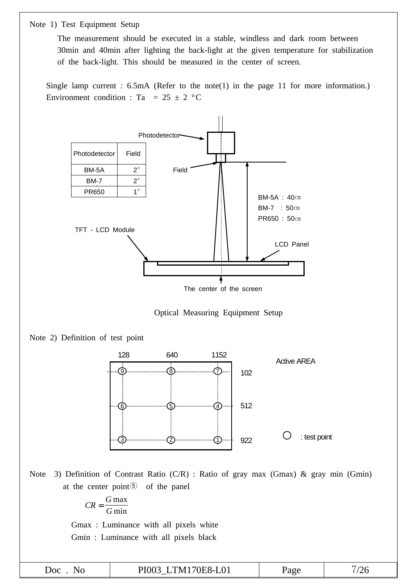Note 1) Test Equipment Setup

The measurement should be executed in a stable, windless and dark room between 30min and 40min after lighting the back-light at the given temperature for stabilization of the back-light. This should be measured in the center of screen.

Single lamp current : 6.5mA (Refer to the note(1) in the page 11 for more information.) Environment condition : Ta = 25  $\pm$  2 °C



The center of the screen







Note 3) Definition of Contrast Ratio (C/R) : Ratio of gray max (Gmax) & gray min (Gmin) at the center point⑤ of the panel

$$
CR = \frac{G \max}{G \min}
$$

Gmax : Luminance with all pixels white Gmin : Luminance with all pixels black

|            | Gmin: Luminance with all pixels black |      |           |
|------------|---------------------------------------|------|-----------|
| $Doc$ . No | PI003_LTM170E8-L01                    | Page | $^{7}/26$ |
|            |                                       |      |           |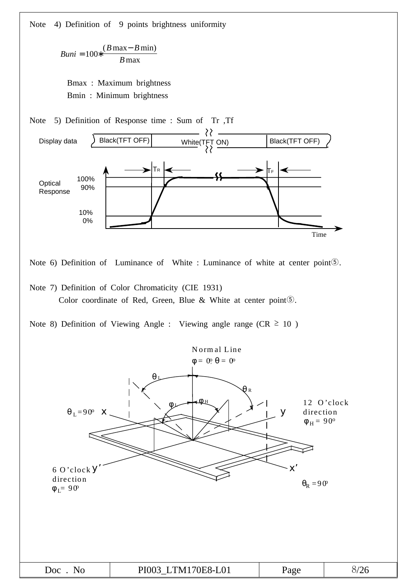Note 4) Definition of 9 points brightness uniformity

*Buni*  $B$  max –  $B$ *B*  $= 100 * \frac{(B \max - B \min)}{D}$ max

Bmax : Maximum brightness Bmin : Minimum brightness



Note 6) Definition of Luminance of White : Luminance of white at center point⑤.

Note 7) Definition of Color Chromaticity (CIE 1931) Color coordinate of Red, Green, Blue & White at center point⑤.

Note 8) Definition of Viewing Angle : Viewing angle range ( $CR \ge 10$ )

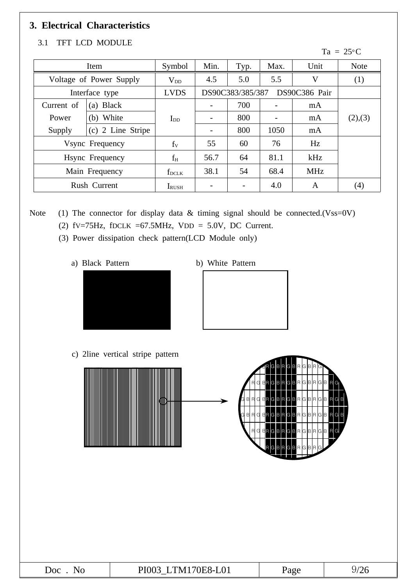# **3. Electrical Characteristics**

#### 3.1 TFT LCD MODULE

#### $Ta = 25^{\circ}C$

|            | Symbol<br>Item          |                | Min.                              | Typ. | Max. | Unit       | <b>Note</b>       |
|------------|-------------------------|----------------|-----------------------------------|------|------|------------|-------------------|
|            | Voltage of Power Supply | $V_{DD}$       | 4.5                               | 5.0  | 5.5  | $\rm V$    | (1)               |
|            | Interface type          | <b>LVDS</b>    | DS90C383/385/387<br>DS90C386 Pair |      |      |            |                   |
| Current of | <b>Black</b><br>(a)     |                |                                   | 700  |      | mA         |                   |
| Power      | White<br>(b)            | $\rm I_{DD}$   |                                   | 800  |      | mA         | (2),(3)           |
| Supply     | 2 Line Stripe<br>(c)    |                |                                   | 800  | 1050 | mA         |                   |
|            | Vsync Frequency         | f <sub>V</sub> | 55                                | 60   | 76   | Hz         |                   |
|            | Hsync Frequency         | $f_H$          | 56.7                              | 64   | 81.1 | kHz        |                   |
|            | Main Frequency          | $f_{DCLK}$     | 38.1                              | 54   | 68.4 | <b>MHz</b> |                   |
|            | Rush Current            | <b>I</b> RUSH  |                                   |      | 4.0  | A          | $\left( 4\right)$ |

Note (1) The connector for display data & timing signal should be connected.(Vss=0V)

- (2) fv=75Hz, fDCLK =67.5MHz, VDD = 5.0V, DC Current.
- (3) Power dissipation check pattern(LCD Module only)
	- a) Black Pattern b) White Pattern
- 



\*c) 2line Vertical stripe pattern c) 2line vertical stripe pattern



| 70 N.H<br>$\Delta$ OC<br>N/L<br>'N r<br>TO T<br>$\overline{\phantom{a}}$ | aσe | $\overline{ }$<br>◢<br>$\overline{\phantom{a}}$ |
|--------------------------------------------------------------------------|-----|-------------------------------------------------|
|--------------------------------------------------------------------------|-----|-------------------------------------------------|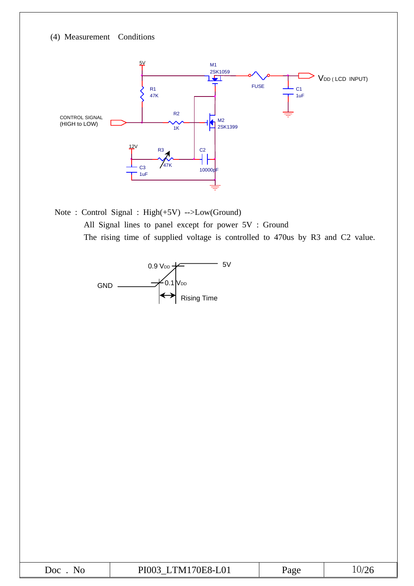(4) Measurement Conditions



Note : Control Signal : High(+5V) -->Low(Ground) All Signal lines to panel except for power 5V : Ground The rising time of supplied voltage is controlled to 470us by R3 and C2 value.



| $\overline{\text{Doc}}$<br>NG | $\mathbf{m}$ $\mathbf{r}$ $\mathbf{r}$ $\mathbf{r}$<br>$-L01$<br>21 ( V<br>'N<br>70E.<br>íX∟I.<br><br>1100<br>◡<br>_ | Page |  |
|-------------------------------|----------------------------------------------------------------------------------------------------------------------|------|--|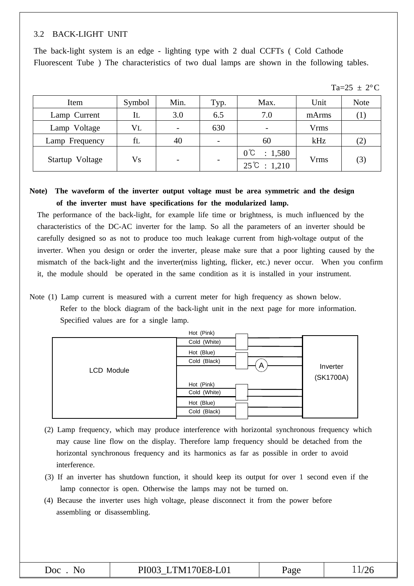#### 3.2 BACK-LIGHT UNIT

The back-light system is an edge - lighting type with 2 dual CCFTs ( Cold Cathode Fluorescent Tube ) The characteristics of two dual lamps are shown in the following tables.

| Item            | Symbol     | Min. | Typ. | Max.                                             | Unit        | <b>Note</b> |  |
|-----------------|------------|------|------|--------------------------------------------------|-------------|-------------|--|
| Lamp Current    | IL         | 3.0  | 6.5  | 7.0                                              | mArms       |             |  |
| Lamp Voltage    | $\rm{V}$ L |      | 630  | $\overline{\phantom{0}}$                         | <b>Vrms</b> |             |  |
| Lamp Frequency  | fl         | 40   |      | 60                                               | kHz         | (2)         |  |
| Startup Voltage | ${\rm Vs}$ |      |      | $0^{\circ}C$<br>: 1,580<br>$25^{\circ}C : 1,210$ | <b>Vrms</b> | (3)         |  |

#### **Note) The waveform of the inverter output voltage must be area symmetric and the design of the inverter must have specifications for the modularized lamp.**

The performance of the back-light, for example life time or brightness, is much influenced by the characteristics of the DC-AC inverter for the lamp. So all the parameters of an inverter should be carefully designed so as not to produce too much leakage current from high-voltage output of the inverter. When you design or order the inverter, please make sure that a poor lighting caused by the mismatch of the back-light and the inverter(miss lighting, flicker, etc.) never occur. When you confirm it, the module should be operated in the same condition as it is installed in your instrument.

Note (1) Lamp current is measured with a current meter for high frequency as shown below. Refer to the block diagram of the back-light unit in the next page for more information. Specified values are for a single lamp.



- (2) Lamp frequency, which may produce interference with horizontal synchronous frequency which may cause line flow on the display. Therefore lamp frequency should be detached from the horizontal synchronous frequency and its harmonics as far as possible in order to avoid interference.
- (3) If an inverter has shutdown function, it should keep its output for over 1 second even if the lamp connector is open. Otherwise the lamps may not be turned on.
- (4) Because the inverter uses high voltage, please disconnect it from the power before assembling or disassembling.

| $\overline{\text{Doc}}$ | LTM170E8-L01<br>PI003 | Page |  |
|-------------------------|-----------------------|------|--|
|                         |                       |      |  |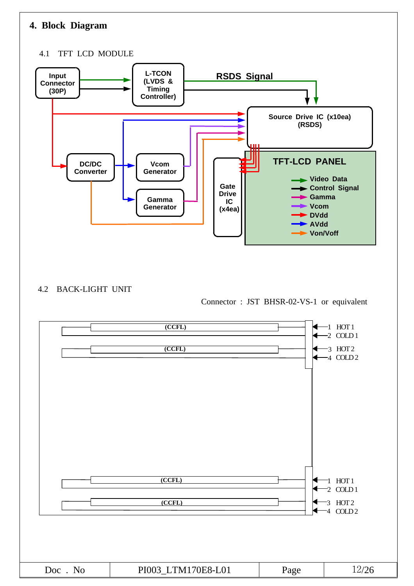# **4. Block Diagram**

#### 4.1 TFT LCD MODULE



#### 4.2 BACK-LIGHT UNIT

Connector : JST BHSR-02-VS-1 or equivalent

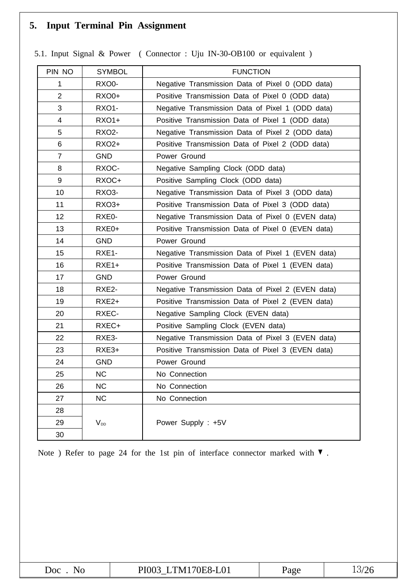# **5. Input Terminal Pin Assignment**

| PIN NO                  | <b>SYMBOL</b> | <b>FUNCTION</b>                                   |
|-------------------------|---------------|---------------------------------------------------|
| 1                       | RXO0-         | Negative Transmission Data of Pixel 0 (ODD data)  |
| $\overline{2}$          | <b>RXO0+</b>  | Positive Transmission Data of Pixel 0 (ODD data)  |
| 3                       | <b>RXO1-</b>  | Negative Transmission Data of Pixel 1 (ODD data)  |
| $\overline{\mathbf{4}}$ | RXO1+         | Positive Transmission Data of Pixel 1 (ODD data)  |
| 5                       | <b>RXO2-</b>  | Negative Transmission Data of Pixel 2 (ODD data)  |
| 6                       | <b>RXO2+</b>  | Positive Transmission Data of Pixel 2 (ODD data)  |
| $\overline{7}$          | <b>GND</b>    | Power Ground                                      |
| 8                       | RXOC-         | Negative Sampling Clock (ODD data)                |
| 9                       | RXOC+         | Positive Sampling Clock (ODD data)                |
| 10                      | RXO3-         | Negative Transmission Data of Pixel 3 (ODD data)  |
| 11                      | RXO3+         | Positive Transmission Data of Pixel 3 (ODD data)  |
| 12                      | RXE0-         | Negative Transmission Data of Pixel 0 (EVEN data) |
| 13                      | RXE0+         | Positive Transmission Data of Pixel 0 (EVEN data) |
| 14                      | <b>GND</b>    | Power Ground                                      |
| 15                      | RXE1-         | Negative Transmission Data of Pixel 1 (EVEN data) |
| 16                      | $RXE1+$       | Positive Transmission Data of Pixel 1 (EVEN data) |
| 17                      | <b>GND</b>    | Power Ground                                      |
| 18                      | RXE2-         | Negative Transmission Data of Pixel 2 (EVEN data) |
| 19                      | RXE2+         | Positive Transmission Data of Pixel 2 (EVEN data) |
| 20                      | RXEC-         | Negative Sampling Clock (EVEN data)               |
| 21                      | RXEC+         | Positive Sampling Clock (EVEN data)               |
| 22                      | RXE3-         | Negative Transmission Data of Pixel 3 (EVEN data) |
| 23                      | RXE3+         | Positive Transmission Data of Pixel 3 (EVEN data) |
| 24                      | <b>GND</b>    | Power Ground                                      |
| 25                      | <b>NC</b>     | No Connection                                     |
| 26                      | <b>NC</b>     | No Connection                                     |
| 27                      | <b>NC</b>     | No Connection                                     |
| 28                      |               |                                                   |
| 29                      | $V_{DD}$      | Power Supply : +5V                                |
| 30                      |               |                                                   |

5.1. Input Signal & Power ( Connector : Uju IN-30-OB100 or equivalent )

Note ) Refer to page 24 for the 1st pin of interface connector marked with ▼ .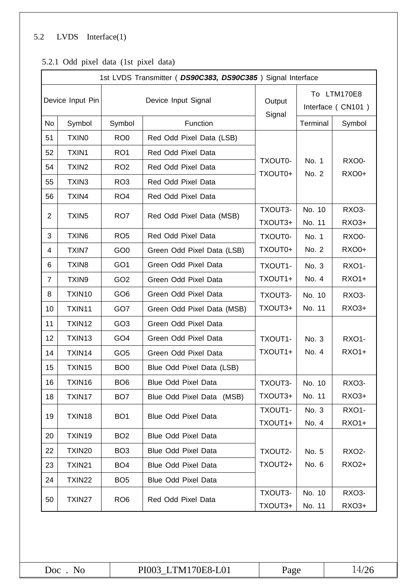### 5.2 LVDS Interface(1)

| 1st LVDS Transmitter ( DS90C383, DS90C385) Signal Interface |                   |                 |                            |                    |                  |                                  |  |  |  |
|-------------------------------------------------------------|-------------------|-----------------|----------------------------|--------------------|------------------|----------------------------------|--|--|--|
| Device Input Pin                                            |                   |                 | Device Input Signal        | Output<br>Signal   |                  | To LTM170E8<br>Interface (CN101) |  |  |  |
| No                                                          | Symbol            | Symbol          | Function                   |                    | Terminal         | Symbol                           |  |  |  |
| 51                                                          | <b>TXINO</b>      | RO <sub>0</sub> | Red Odd Pixel Data (LSB)   |                    |                  |                                  |  |  |  |
| 52                                                          | TXIN1             | RO <sub>1</sub> | Red Odd Pixel Data         |                    |                  |                                  |  |  |  |
| 54                                                          | TXIN <sub>2</sub> | RO <sub>2</sub> | Red Odd Pixel Data         | TXOUT0-<br>TXOUT0+ | No. 1<br>No. 2   | RXO0-<br><b>RXO0+</b>            |  |  |  |
| 55                                                          | TXIN3             | RO <sub>3</sub> | Red Odd Pixel Data         |                    |                  |                                  |  |  |  |
| 56                                                          | TXIN4             | RO <sub>4</sub> | Red Odd Pixel Data         |                    |                  |                                  |  |  |  |
| 2                                                           | TXIN <sub>5</sub> | RO <sub>7</sub> | Red Odd Pixel Data (MSB)   | TXOUT3-<br>TXOUT3+ | No. 10<br>No. 11 | RXO3-<br>RXO3+                   |  |  |  |
| 3                                                           | TXIN6             | RO <sub>5</sub> | Red Odd Pixel Data         | TXOUT0-            | No. 1            | RXO0-                            |  |  |  |
| 4                                                           | <b>TXIN7</b>      | GO <sub>0</sub> | Green Odd Pixel Data (LSB) | TXOUT0+            | No. 2            | <b>RXO0+</b>                     |  |  |  |
| 6                                                           | TXIN <sub>8</sub> | GO <sub>1</sub> | Green Odd Pixel Data       | TXOUT1-            | No. 3            | <b>RXO1-</b>                     |  |  |  |
| 7                                                           | TXIN9             | GO <sub>2</sub> | Green Odd Pixel Data       | TXOUT1+            | No. 4            | RX01+                            |  |  |  |
| 8                                                           | TXIN10            | GO <sub>6</sub> | Green Odd Pixel Data       | TXOUT3-            | No. 10           | <b>RXO3-</b>                     |  |  |  |
| 10                                                          | TXIN11            | GO7             | Green Odd Pixel Data (MSB) | TXOUT3+            | No. 11           | RXO3+                            |  |  |  |
| 11                                                          | TXIN12            | GO <sub>3</sub> | Green Odd Pixel Data       |                    |                  |                                  |  |  |  |
| 12                                                          | TXIN13            | GO <sub>4</sub> | Green Odd Pixel Data       | TXOUT1-            | No. 3            | <b>RXO1-</b>                     |  |  |  |
| 14                                                          | TXIN14            | GO <sub>5</sub> | Green Odd Pixel Data       | TXOUT1+            | No. 4            | <b>RXO1+</b>                     |  |  |  |
| 15                                                          | TXIN15            | BO <sub>0</sub> | Blue Odd Pixel Data (LSB)  |                    |                  |                                  |  |  |  |
| 16                                                          | TXIN16            | BO <sub>6</sub> | <b>Blue Odd Pixel Data</b> | TXOUT3-            | No. 10           | RXO3-                            |  |  |  |
| 18                                                          | TXIN17            | BO <sub>7</sub> | Blue Odd Pixel Data (MSB)  | TXOUT3+            | No. 11           | RXO3+                            |  |  |  |
| 19                                                          | TXIN18            | BO <sub>1</sub> | <b>Blue Odd Pixel Data</b> | TXOUT1-<br>TXOUT1+ | No. 3<br>No. 4   | <b>RXO1-</b><br>RXO1+            |  |  |  |
| 20                                                          | TXIN19            | BO <sub>2</sub> | <b>Blue Odd Pixel Data</b> |                    |                  |                                  |  |  |  |
| 22                                                          | <b>TXIN20</b>     | BO <sub>3</sub> | <b>Blue Odd Pixel Data</b> | TXOUT2-            | No. 5            | <b>RXO2-</b>                     |  |  |  |
| 23                                                          | TXIN21            | BO <sub>4</sub> | <b>Blue Odd Pixel Data</b> | TXOUT2+            | No. 6            | RXO2+                            |  |  |  |
| 24                                                          | <b>TXIN22</b>     | BO <sub>5</sub> | <b>Blue Odd Pixel Data</b> |                    |                  |                                  |  |  |  |
| 50                                                          | TXIN27            | RO <sub>6</sub> | Red Odd Pixel Data         | TXOUT3-<br>TXOUT3+ | No. 10<br>No. 11 | RXO3-<br>RXO3+                   |  |  |  |

### 5.2.1 Odd pixel data (1st pixel data)

| Doc | Nc |
|-----|----|
|     |    |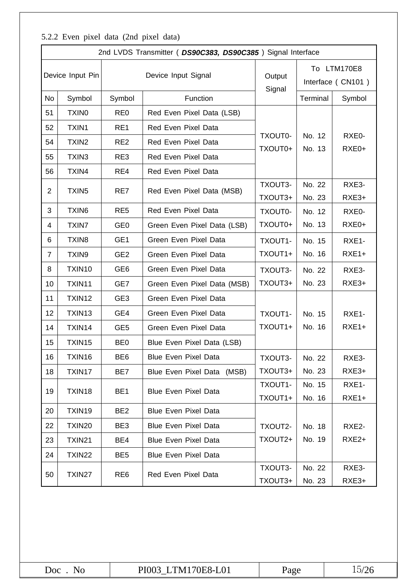### 5.2.2 Even pixel data (2nd pixel data)

|                  |                   |                 | 2nd LVDS Transmitter ( DS90C383, DS90C385) Signal Interface |                    |                                  |                   |  |  |
|------------------|-------------------|-----------------|-------------------------------------------------------------|--------------------|----------------------------------|-------------------|--|--|
| Device Input Pin |                   |                 | Device Input Signal                                         | Output<br>Signal   | To LTM170E8<br>Interface (CN101) |                   |  |  |
| No               | Symbol            | Symbol          | Function                                                    |                    | Terminal                         | Symbol            |  |  |
| 51               | <b>TXINO</b>      | RE <sub>0</sub> | Red Even Pixel Data (LSB)                                   |                    |                                  |                   |  |  |
| 52               | TXIN1             | RE1             | Red Even Pixel Data                                         |                    |                                  |                   |  |  |
| 54               | TXIN <sub>2</sub> | RE <sub>2</sub> | Red Even Pixel Data                                         | TXOUT0-<br>TXOUT0+ | No. 12<br>No. 13                 | RXE0-<br>RXE0+    |  |  |
| 55               | TXIN3             | RE3             | Red Even Pixel Data                                         |                    |                                  |                   |  |  |
| 56               | TXIN4             | RE4             | Red Even Pixel Data                                         |                    |                                  |                   |  |  |
| $\overline{2}$   | TXIN <sub>5</sub> | RE7             | Red Even Pixel Data (MSB)                                   | TXOUT3-<br>TXOUT3+ | No. 22<br>No. 23                 | RXE3-<br>RXE3+    |  |  |
| 3                | TXIN6             | RE <sub>5</sub> | Red Even Pixel Data                                         | TXOUT0-            | No. 12                           | RXE0-             |  |  |
| 4                | <b>TXIN7</b>      | GE <sub>0</sub> | Green Even Pixel Data (LSB)                                 | TXOUT0+            | No. 13                           | RXE0+             |  |  |
| 6                | TXIN <sub>8</sub> | GE <sub>1</sub> | Green Even Pixel Data                                       | TXOUT1-            | No. 15                           | RXE1-             |  |  |
| $\overline{7}$   | TXIN9             | GE <sub>2</sub> | Green Even Pixel Data                                       | TXOUT1+            | No. 16                           | $RXE1+$           |  |  |
| 8                | TXIN10            | GE <sub>6</sub> | Green Even Pixel Data                                       | TXOUT3-            | No. 22                           | RXE3-             |  |  |
| 10               | TXIN11            | GE7             | Green Even Pixel Data (MSB)                                 | TXOUT3+            | No. 23                           | RXE3+             |  |  |
| 11               | TXIN12            | GE <sub>3</sub> | Green Even Pixel Data                                       |                    |                                  |                   |  |  |
| 12               | TXIN13            | GE4             | Green Even Pixel Data                                       | TXOUT1-            | No. 15                           | RXE1-             |  |  |
| 14               | TXIN14            | GE <sub>5</sub> | Green Even Pixel Data                                       | TXOUT1+            | No. 16                           | $RXE1+$           |  |  |
| 15               | TXIN15            | BE <sub>0</sub> | Blue Even Pixel Data (LSB)                                  |                    |                                  |                   |  |  |
| 16               | TXIN16            | BE <sub>6</sub> | Blue Even Pixel Data                                        | TXOUT3-            | No. 22                           | RXE3-             |  |  |
| 18               | TXIN17            | BE7             | Blue Even Pixel Data (MSB)                                  | TXOUT3+            | No. 23                           | RXE3+             |  |  |
| 19               | TXIN18            | BE1             | <b>Blue Even Pixel Data</b>                                 | TXOUT1-<br>TXOUT1+ | No. 15<br>No. 16                 | RXE1-<br>$RXE1+$  |  |  |
| 20               | TXIN19            | BE <sub>2</sub> | <b>Blue Even Pixel Data</b>                                 |                    |                                  |                   |  |  |
| 22               | TXIN20            | BE3             | <b>Blue Even Pixel Data</b>                                 | TXOUT2-            | No. 18                           | RXE2-             |  |  |
| 23               | TXIN21            | BE4             | <b>Blue Even Pixel Data</b>                                 | TXOUT2+            | No. 19                           | RXE <sub>2+</sub> |  |  |
| 24               | TXIN22            | BE <sub>5</sub> | <b>Blue Even Pixel Data</b>                                 |                    |                                  |                   |  |  |
| 50               | TXIN27            | RE <sub>6</sub> | Red Even Pixel Data                                         | TXOUT3-<br>TXOUT3+ | No. 22<br>No. 23                 | RXE3-<br>RXE3+    |  |  |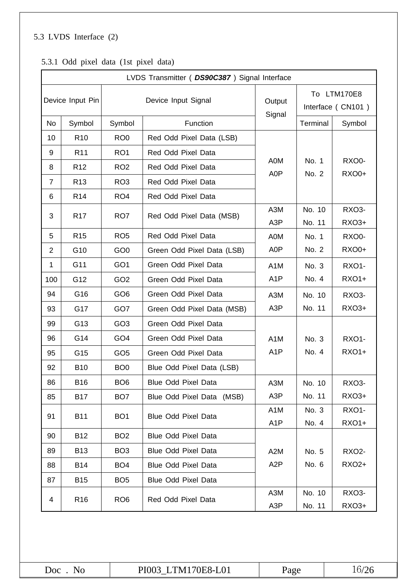### 5.3 LVDS Interface (2)

|                  |                 |                 | LVDS Transmitter ( DS90C387) Signal Interface |                         |                                  |                       |  |  |
|------------------|-----------------|-----------------|-----------------------------------------------|-------------------------|----------------------------------|-----------------------|--|--|
| Device Input Pin |                 |                 | Device Input Signal                           | Output<br>Signal        | To LTM170E8<br>Interface (CN101) |                       |  |  |
| No               | Symbol          | Symbol          | Function                                      |                         | Terminal                         | Symbol                |  |  |
| 10               | R <sub>10</sub> | RO <sub>0</sub> | Red Odd Pixel Data (LSB)                      |                         |                                  |                       |  |  |
| 9                | R <sub>11</sub> | RO <sub>1</sub> | Red Odd Pixel Data                            |                         |                                  |                       |  |  |
| 8                | R <sub>12</sub> | RO <sub>2</sub> | Red Odd Pixel Data                            | A0M<br>A0P              | No. 1<br>No. 2                   | RXO0-<br><b>RXO0+</b> |  |  |
| $\overline{7}$   | R <sub>13</sub> | RO <sub>3</sub> | Red Odd Pixel Data                            |                         |                                  |                       |  |  |
| 6                | R <sub>14</sub> | RO <sub>4</sub> | Red Odd Pixel Data                            |                         |                                  |                       |  |  |
| 3                | R <sub>17</sub> | RO <sub>7</sub> | Red Odd Pixel Data (MSB)                      | A3M<br>A <sub>3</sub> P | No. 10<br>No. 11                 | RXO3-<br><b>RXO3+</b> |  |  |
| 5                | R <sub>15</sub> | RO <sub>5</sub> | Red Odd Pixel Data                            | A0M                     | No. 1                            | RXO0-                 |  |  |
| 2                | G10             | GO <sub>0</sub> | Green Odd Pixel Data (LSB)                    | A <sub>0</sub> P        | No. 2                            | <b>RXO0+</b>          |  |  |
| 1                | G11             | GO <sub>1</sub> | Green Odd Pixel Data                          | A <sub>1</sub> M        | No. 3                            | <b>RXO1-</b>          |  |  |
| 100              | G12             | GO <sub>2</sub> | Green Odd Pixel Data                          | A <sub>1</sub> P        | No. 4                            | RX01+                 |  |  |
| 94               | G16             | GO <sub>6</sub> | Green Odd Pixel Data                          | A3M                     | No. 10                           | RXO3-                 |  |  |
| 93               | G17             | GO7             | Green Odd Pixel Data (MSB)                    | A <sub>3</sub> P        | No. 11                           | <b>RXO3+</b>          |  |  |
| 99               | G13             | GO <sub>3</sub> | Green Odd Pixel Data                          |                         |                                  |                       |  |  |
| 96               | G14             | GO <sub>4</sub> | Green Odd Pixel Data                          | A <sub>1</sub> M        | No. 3                            | <b>RXO1-</b>          |  |  |
| 95               | G15             | GO <sub>5</sub> | Green Odd Pixel Data                          | A <sub>1</sub> P        | No. 4                            | <b>RXO1+</b>          |  |  |
| 92               | <b>B10</b>      | BO <sub>0</sub> | Blue Odd Pixel Data (LSB)                     |                         |                                  |                       |  |  |
| 86               | <b>B16</b>      | BO <sub>6</sub> | <b>Blue Odd Pixel Data</b>                    | A3M                     | No. 10                           | RXO3-                 |  |  |
| 85               | <b>B17</b>      | BO <sub>7</sub> | Blue Odd Pixel Data (MSB)                     | A <sub>3</sub> P        | No. 11                           | RXO3+                 |  |  |
| 91               | <b>B11</b>      | BO <sub>1</sub> | Blue Odd Pixel Data                           | A <sub>1</sub> M        | No. 3                            | <b>RXO1-</b>          |  |  |
|                  |                 |                 |                                               | A <sub>1</sub> P        | No. 4                            | <b>RXO1+</b>          |  |  |
| 90               | <b>B12</b>      | BO <sub>2</sub> | <b>Blue Odd Pixel Data</b>                    |                         |                                  |                       |  |  |
| 89               | <b>B13</b>      | BO <sub>3</sub> | <b>Blue Odd Pixel Data</b>                    | A <sub>2</sub> M        | No. 5                            | <b>RXO2-</b>          |  |  |
| 88               | <b>B14</b>      | BO <sub>4</sub> | <b>Blue Odd Pixel Data</b>                    | A <sub>2</sub> P        | No. 6                            | RXO2+                 |  |  |
| 87               | <b>B15</b>      | BO <sub>5</sub> | <b>Blue Odd Pixel Data</b>                    |                         |                                  |                       |  |  |
| 4                | R <sub>16</sub> | RO <sub>6</sub> | Red Odd Pixel Data                            | A3M                     | No. 10                           | RXO3-                 |  |  |
|                  |                 |                 |                                               | A <sub>3</sub> P        | No. 11                           | RXO3+                 |  |  |

### 5.3.1 Odd pixel data (1st pixel data)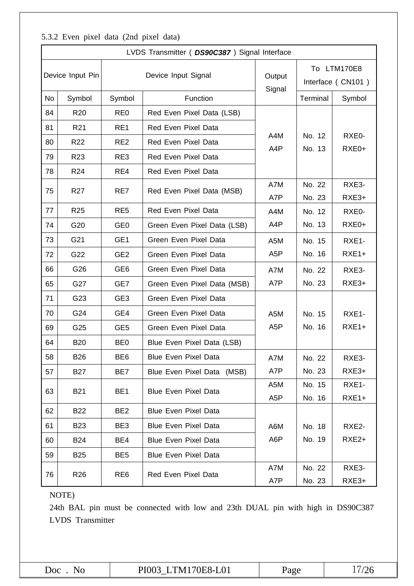#### LVDS Transmitter ( *DS90C387* ) Signal Interface Device Input Pin **Device Input Signal Device Input Signal Signal** To LTM170E8 Interface ( CN101 ) No Symbol Symbol Function Terminal Symbol Function 84 R20 RE0 Red Even Pixel Data (LSB) A4M A4P No. 12 No. 13 RXE0- RXE0+ 81 R21 RE1 Red Even Pixel Data 80 R22 RE2 Red Even Pixel Data 79 R23 RE3 Red Even Pixel Data 78 | R24 | RE4 | Red Even Pixel Data 75 | R27 | RE7 | Red Even Pixel Data (MSB) A7M A7P No. 22 No. 23 RXE3- RXE3+ 77 R25 RE5 Red Even Pixel Data R4M A4P No. 12 No. 13 RXE0-  $74$  G20 GE0 Green Even Pixel Data (LSB)  $\vert$  A4P  $\vert$  No. 13 RXE0+ 73 G21 GE1 Green Even Pixel Data | A5M A5P No. 15 No. 16 RXE1- 72 G22 GE2 Green Even Pixel Data A5P No. 16 RXE1+ 66 G26 GE6 Green Even Pixel Data A7M A7P No. 22 No. 23 RXE3-  $65$  G27 GE7 Green Even Pixel Data (MSB)  $\vert$  A7P  $\vert$  No. 23  $\vert$  RXE3+ 71 G23 GE3 Green Even Pixel Data A5M A5P No. 15 No. 16 RXE1- RXE1+ 70 G24 GE4 Green Even Pixel Data 69 G25 GE5 Green Even Pixel Data 64 B20 BE0 Blue Even Pixel Data (LSB) 58 B26 BE6 Blue Even Pixel Data | A7M A7P No. 22 No. 23 RXE3-  $57$  B27 BE7 Blue Even Pixel Data (MSB)  $\overline{AP}$  No. 23 RXE3+ 63 B21 BE1 Blue Even Pixel Data A5M A5P No. 15 No. 16 RXE1- RXE1+ 62 | B22 | BE2 | Blue Even Pixel Data A6M A6P No. 18 No. 19 RXE2- RXE2+ 61 B23 BE3 Blue Even Pixel Data 60 | B24 | BE4 | Blue Even Pixel Data 59 B25 BE5 Blue Even Pixel Data 76 R26 RE6 Red Even Pixel Data A7M A7P No. 22 No. 23 RXE3- RXE3+

#### 5.3.2 Even pixel data (2nd pixel data)

NOTE)

24th BAL pin must be connected with low and 23th DUAL pin with high in DS90C387 LVDS Transmitter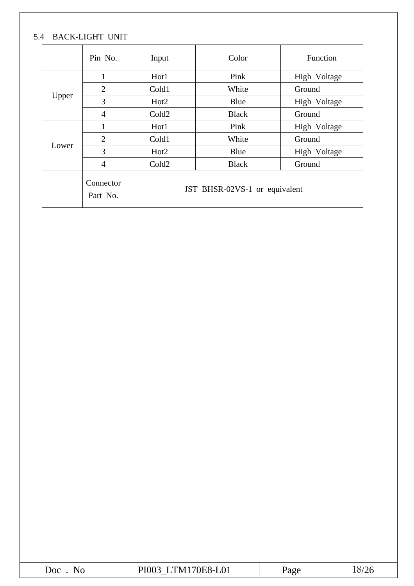### 5.4 BACK-LIGHT UNIT

|       | Pin No.               | Input             | Color                         | Function     |  |  |  |  |  |  |  |  |
|-------|-----------------------|-------------------|-------------------------------|--------------|--|--|--|--|--|--|--|--|
|       | $\mathbf{1}$          | Hot1              | Pink                          | High Voltage |  |  |  |  |  |  |  |  |
|       | $\overline{2}$        | Cold1             | White                         | Ground       |  |  |  |  |  |  |  |  |
| Upper | 3                     | Hot <sub>2</sub>  | Blue                          | High Voltage |  |  |  |  |  |  |  |  |
|       | $\overline{4}$        | Cold <sub>2</sub> | <b>Black</b>                  | Ground       |  |  |  |  |  |  |  |  |
|       | $\mathbf{1}$          | Hot1              | Pink<br>High Voltage          |              |  |  |  |  |  |  |  |  |
|       | $\overline{2}$        | Cold1             | Ground                        |              |  |  |  |  |  |  |  |  |
| Lower | 3                     | Hot <sub>2</sub>  | Blue                          | High Voltage |  |  |  |  |  |  |  |  |
|       | $\overline{4}$        | Cold <sub>2</sub> | <b>Black</b>                  | Ground       |  |  |  |  |  |  |  |  |
|       | Connector<br>Part No. |                   | JST BHSR-02VS-1 or equivalent |              |  |  |  |  |  |  |  |  |

|  | $\Omega$<br>Doc<br>.)H<br>'a o c<br>IV.<br>$X-I$<br>◥◡<br><b>LUT</b><br>$\mathbf{u}$ .<br>$\overline{\phantom{a}}$ |
|--|--------------------------------------------------------------------------------------------------------------------|
|--|--------------------------------------------------------------------------------------------------------------------|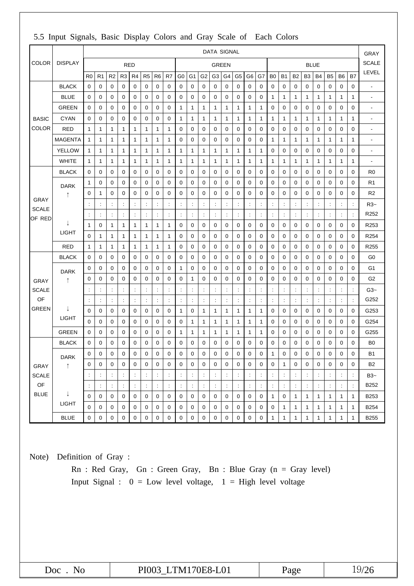|                        |                |                      |                      |                      |                      |                      |                      |                  |                      |                |                      |                      | <b>DATA SIGNAL</b>   |                      |                      |                      |                      |                      |                      |                |              |                |                |                      |                      | GRAY                     |
|------------------------|----------------|----------------------|----------------------|----------------------|----------------------|----------------------|----------------------|------------------|----------------------|----------------|----------------------|----------------------|----------------------|----------------------|----------------------|----------------------|----------------------|----------------------|----------------------|----------------|--------------|----------------|----------------|----------------------|----------------------|--------------------------|
| COLOR                  | <b>DISPLAY</b> |                      |                      |                      |                      | <b>RED</b>           |                      |                  |                      |                |                      |                      | <b>GREEN</b>         |                      |                      |                      |                      |                      |                      |                | <b>BLUE</b>  |                |                |                      |                      | <b>SCALE</b>             |
|                        |                | R <sub>0</sub>       | R <sub>1</sub>       | R <sub>2</sub>       | R <sub>3</sub>       | R4                   | R <sub>5</sub>       | R <sub>6</sub>   | R7                   | G0             | G <sub>1</sub>       | G <sub>2</sub>       | G <sub>3</sub>       | G <sub>4</sub>       | G5                   | G6                   | G7                   | B <sub>0</sub>       | B <sub>1</sub>       | B <sub>2</sub> | B3           | <b>B4</b>      | B <sub>5</sub> | B6                   | B7                   | LEVEL                    |
|                        | <b>BLACK</b>   | 0                    | $\mathbf 0$          | 0                    | 0                    | 0                    | 0                    | $\mathbf 0$      | $\mathbf 0$          | 0              | 0                    | 0                    | 0                    | 0                    | 0                    | $\mathbf 0$          | $\mathbf 0$          | 0                    | $\mathbf 0$          | 0              | 0            | 0              | 0              | 0                    | 0                    | $\blacksquare$           |
|                        | <b>BLUE</b>    | 0                    | 0                    | 0                    | 0                    | 0                    | 0                    | 0                | 0                    | 0              | 0                    | 0                    | $\mathbf 0$          | 0                    | 0                    | 0                    | 0                    | 1                    | 1                    | 1              | 1            | 1              | 1              | $\mathbf{1}$         | 1                    | $\blacksquare$           |
|                        | <b>GREEN</b>   | 0                    | 0                    | 0                    | 0                    | 0                    | 0                    | 0                | 0                    | 1              | $\mathbf{1}$         | 1                    | 1                    | 1                    | 1                    | 1                    | 1                    | 0                    | 0                    | 0              | 0            | 0              | 0              | 0                    | 0                    | $\overline{\phantom{a}}$ |
| <b>BASIC</b>           | <b>CYAN</b>    | 0                    | 0                    | 0                    | 0                    | 0                    | 0                    | 0                | 0                    | 1              | $\mathbf{1}$         | 1                    | 1                    | 1                    | 1                    | 1                    | 1                    | 1                    | 1                    | 1              | 1            | 1              | 1              | 1                    | 1                    | $\overline{\phantom{a}}$ |
| COLOR                  | <b>RED</b>     | 1                    | 1                    | 1                    | 1                    | 1                    | 1                    | 1                | $\mathbf{1}$         | 0              | $\mathbf 0$          | $\mathbf 0$          | $\mathbf 0$          | 0                    | 0                    | 0                    | $\mathbf 0$          | 0                    | 0                    | 0              | $\mathbf 0$  | 0              | $\mathbf 0$    | 0                    | $\mathbf 0$          | $\overline{\phantom{a}}$ |
|                        | <b>MAGENTA</b> | 1                    | 1                    | 1                    | 1                    | 1                    | 1                    | 1                | $\mathbf 1$          | 0              | $\mathbf 0$          | $\pmb{0}$            | 0                    | $\mathbf 0$          | 0                    | $\mathbf 0$          | 0                    | 1                    | 1                    | 1              | 1            | $\mathbf{1}$   | 1              | 1                    | 1                    | $\overline{\phantom{a}}$ |
|                        | <b>YELLOW</b>  | 1                    | 1                    | 1                    | 1                    | 1                    | 1                    | 1                | $\mathbf{1}$         | 1              | 1                    | 1                    | 1                    | 1                    | 1                    | 1                    | 1                    | 0                    | $\mathbf 0$          | 0              | 0            | 0              | $\mathbf 0$    | 0                    | 0                    | $\overline{\phantom{a}}$ |
|                        | <b>WHITE</b>   | $\mathbf{1}$         | 1                    | 1                    | 1                    | 1                    | 1                    | 1                | $\mathbf 1$          | 1              | 1                    | 1                    | 1                    | 1                    | 1                    | 1                    | 1                    | 1                    | 1                    | 1              | 1            | $\mathbf{1}$   | 1              | 1                    | 1                    | $\overline{\phantom{a}}$ |
|                        | <b>BLACK</b>   | 0                    | 0                    | 0                    | 0                    | 0                    | 0                    | 0                | $\mathbf 0$          | 0              | $\mathbf 0$          | $\mathbf 0$          | 0                    | 0                    | 0                    | 0                    | $\mathbf 0$          | 0                    | 0                    | 0              | 0            | 0              | 0              | 0                    | $\pmb{0}$            | R <sub>0</sub>           |
|                        | <b>DARK</b>    | 1                    | $\mathbf 0$          | 0                    | 0                    | 0                    | 0                    | 0                | 0                    | 0              | 0                    | $\mathbf 0$          | 0                    | 0                    | 0                    | 0                    | $\mathbf 0$          | 0                    | 0                    | 0              | 0            | 0              | 0              | 0                    | 0                    | R <sub>1</sub>           |
|                        | ↑              | 0                    | 1                    | 0                    | 0                    | 0                    | 0                    | 0                | 0                    | 0              | $\mathbf 0$          | 0                    | $\mathbf 0$          | 0                    | 0                    | 0                    | $\mathbf 0$          | 0                    | 0                    | 0              | 0            | 0              | 0              | 0                    | 0                    | R <sub>2</sub>           |
| <b>GRAY</b>            |                |                      | $\ddot{\cdot}$       | $\ddot{\phantom{a}}$ | $\ddot{\phantom{a}}$ | $\ddot{\cdot}$       | ÷                    | $\ddot{\cdot}$   | $\ddot{\phantom{a}}$ | $\ddot{\cdot}$ | $\ddot{\phantom{a}}$ | $\ddot{\cdot}$       | $\ddot{\phantom{a}}$ | $\ddot{\cdot}$       | $\ddot{\phantom{a}}$ | $\ddot{\cdot}$       | $\ddot{\phantom{a}}$ | ÷                    | $\ddot{\phantom{a}}$ | ÷              | ÷            | t              | ÷              | ÷                    | $\ddot{\phantom{a}}$ | $R3-$                    |
| <b>SCALE</b><br>OF RED |                |                      | $\ddot{\phantom{a}}$ | $\ddot{\cdot}$       |                      | $\ddot{\cdot}$       | $\ddot{\cdot}$       |                  | $\ddot{\cdot}$       |                | $\ddot{\phantom{a}}$ | $\ddot{\cdot}$       | $\ddot{\phantom{a}}$ | $\ddot{\cdot}$       | $\ddot{\cdot}$       | $\ddot{\cdot}$       | $\ddot{\cdot}$       | $\ddot{\phantom{a}}$ | $\ddot{\cdot}$       | $\ddot{\cdot}$ |              | $\ddot{\cdot}$ | t              | $\ddot{\phantom{a}}$ | $\ddot{\cdot}$       | R252                     |
|                        | J              | 1                    | $\mathbf 0$          | 1                    | 1                    | 1                    | 1                    | 1                | $\mathbf{1}$         | 0              | $\mathbf 0$          | $\mathbf 0$          | $\mathbf 0$          | 0                    | 0                    | 0                    | $\mathbf 0$          | 0                    | 0                    | 0              | 0            | 0              | 0              | 0                    | $\mathbf 0$          | R253                     |
|                        | LIGHT          | 0                    | 1                    | 1                    | 1                    | 1                    | 1                    | 1                | 1                    | 0              | 0                    | $\pmb{0}$            | $\mathbf 0$          | 0                    | 0                    | 0                    | 0                    | 0                    | $\mathbf 0$          | 0              | 0            | 0              | 0              | 0                    | $\pmb{0}$            | R <sub>254</sub>         |
|                        | <b>RED</b>     | 1                    | 1                    | 1                    | 1                    | 1                    | 1                    | 1                | $\mathbf 1$          | 0              | 0                    | 0                    | 0                    | 0                    | 0                    | 0                    | 0                    | 0                    | 0                    | 0              | 0            | 0              | 0              | 0                    | 0                    | R255                     |
|                        | <b>BLACK</b>   | 0                    | 0                    | 0                    | 0                    | 0                    | 0                    | 0                | 0                    | 0              | $\mathbf 0$          | 0                    | 0                    | 0                    | 0                    | $\mathbf 0$          | 0                    | 0                    | $\mathbf 0$          | 0              | 0            | 0              | 0              | $\mathbf 0$          | 0                    | G <sub>0</sub>           |
|                        | <b>DARK</b>    | 0                    | $\mathbf 0$          | 0                    | 0                    | 0                    | $\mathbf 0$          | 0                | $\mathbf 0$          | 1              | $\mathbf 0$          | $\mathbf 0$          | 0                    | 0                    | 0                    | 0                    | $\mathbf 0$          | 0                    | $\mathbf 0$          | 0              | 0            | 0              | 0              | 0                    | $\mathbf 0$          | G1                       |
| <b>GRAY</b>            | ↑              | 0                    | 0                    | 0                    | 0                    | 0                    | 0                    | 0                | 0                    | 0              | 1                    | 0                    | $\mathbf 0$          | 0                    | 0                    | 0                    | 0                    | 0                    | 0                    | 0              | 0            | 0              | 0              | 0                    | 0                    | G <sub>2</sub>           |
| <b>SCALE</b>           |                |                      | $\ddot{\phantom{a}}$ | ÷                    | ÷                    | $\ddot{\cdot}$       | ÷                    | ÷                | $\ddot{\cdot}$       | $\ddot{\cdot}$ | $\ddot{.}$           | ÷                    | ÷                    | $\ddot{\cdot}$       |                      | $\ddot{\phantom{a}}$ | ÷                    | ÷                    | $\ddot{.}$           | ÷              | ÷            | ÷              | ÷              | ÷                    | $\ddot{\phantom{a}}$ | $G3-$                    |
| OF                     |                |                      | $\ddot{\cdot}$       | ÷                    | ÷                    | $\ddot{.}$           | $\ddot{\cdot}$       | $\ddot{\cdot}$   | $\ddot{\cdot}$       |                | $\ddot{.}$           | $\ddot{\cdot}$       | $\ddot{\phantom{a}}$ | $\ddot{\cdot}$       | $\ddot{.}$           | $\ddot{\phantom{a}}$ | $\ddot{\cdot}$       | $\ddot{\phantom{a}}$ | $\ddot{\cdot}$       | $\ddot{\cdot}$ | t            | ċ              | t              | $\ddot{\phantom{a}}$ | $\ddot{\cdot}$       | G252                     |
| <b>GREEN</b>           | ↓              | 0                    | $\mathbf 0$          | 0                    | 0                    | 0                    | 0                    | 0                | 0                    | 1              | $\mathbf 0$          | 1                    | 1                    | 1                    | 1                    | 1                    | 1                    | 0                    | 0                    | 0              | 0            | 0              | 0              | $\mathbf 0$          | $\mathbf 0$          | G253                     |
|                        | LIGHT          | 0                    | 0                    | 0                    | 0                    | 0                    | 0                    | $\mathbf 0$      | 0                    | 0              | 1                    | 1                    | 1                    | 1                    | 1                    | 1                    | 1                    | 0                    | 0                    | 0              | 0            | 0              | 0              | 0                    | $\mathbf 0$          | G254                     |
|                        | <b>GREEN</b>   | 0                    | 0                    | 0                    | 0                    | 0                    | 0                    | 0                | 0                    | 1              | 1                    | 1                    | 1                    | 1                    | 1                    | 1                    | 1                    | 0                    | 0                    | 0              | 0            | 0              | 0              | 0                    | $\pmb{0}$            | G255                     |
|                        | <b>BLACK</b>   | 0                    | 0                    | 0                    | $\mathbf 0$          | 0                    | 0                    | 0                | $\mathbf 0$          | 0              | 0                    | 0                    | 0                    | 0                    | 0                    | 0                    | 0                    | 0                    | 0                    | 0              | 0            | 0              | 0              | 0                    | 0                    | B <sub>0</sub>           |
|                        | <b>DARK</b>    | 0                    | $\mathsf 0$          | $\mathbf 0$          | $\mathbf 0$          | $\mathbf 0$          | 0                    | $\pmb{0}$        | $\pmb{0}$            | 0              | 0                    | 0                    | $\pmb{0}$            | 0                    | $\mathbf 0$          | $\pmb{0}$            | $\,0\,$              | 1                    | 0                    | $\pmb{0}$      | $\mathbf 0$  | $\pmb{0}$      | $\pmb{0}$      | $\pmb{0}$            | $\pmb{0}$            | B <sub>1</sub>           |
| GRAY                   | $\uparrow$     | 0                    | 0                    | 0                    | 0                    | 0                    | $\mathbf 0$          | $\mathbf 0$      | $\mathbf 0$          | 0              | 0                    | $\mathbf 0$          | $\mathbf 0$          | 0                    | 0                    | 0                    | $\mathbf 0$          | 0                    | $\mathbf{1}$         | 0              | $\mathbf 0$  | 0              | 0              | $\mathbf 0$          | 0                    | <b>B2</b>                |
| <b>SCALE</b>           |                |                      | $\ddot{\phantom{a}}$ | $\ddot{\phantom{a}}$ | ÷                    | $\ddot{\cdot}$       | $\ddot{\phantom{a}}$ | ÷                | $\ddot{\cdot}$       | t.             | $\ddot{\phantom{a}}$ | $\ddot{\phantom{a}}$ | $\ddot{\phantom{a}}$ | $\ddot{\cdot}$       | $\ddot{\cdot}$       | ÷                    | ÷                    | ÷                    | $\ddot{\cdot}$       | t,             | ÷            | ÷              | $\ddot{\cdot}$ | ÷                    | $\ddot{\phantom{a}}$ | $B3-$                    |
| OF                     |                | $\ddot{\phantom{a}}$ | $\ddot{\phantom{a}}$ | ÷                    | ÷                    | $\ddot{\phantom{a}}$ | $\ddot{\phantom{a}}$ | ÷                | $\ddot{\phantom{a}}$ | ÷              | $\ddot{\phantom{a}}$ | $\ddot{\phantom{a}}$ | $\ddot{\phantom{a}}$ | $\ddot{\phantom{a}}$ | $\ddot{\phantom{a}}$ | $\ddot{\phantom{a}}$ | $\ddot{\cdot}$       | ÷                    | $\ddot{\cdot}$       | ÷              | ÷            | $\ddot{\cdot}$ | ÷              | ÷                    | $\ddot{\cdot}$       | B252                     |
| <b>BLUE</b>            | ↓              | $\mathbf 0$          | $\mathbf 0$          | $\mathbf 0$          | $\mathbf 0$          | $\mathbf 0$          | $\mathbf 0$          | $\mathbf 0$      | $\mathbf 0$          | $\mathbf 0$    | $\mathbf 0$          | $\mathbf 0$          | $\mathbf 0$          | $\mathbf 0$          | 0                    | 0                    | $\mathbf 0$          | $\mathbf{1}$         | $\mathbf 0$          | $\mathbf{1}$   | $\mathbf{1}$ | $\mathbf{1}$   | $\mathbf{1}$   | $\mathbf{1}$         | $\mathbf{1}$         | B253                     |
|                        | <b>LIGHT</b>   | 0                    | $\mathbf 0$          | 0                    | $\boldsymbol{0}$     | 0                    | 0                    | $\boldsymbol{0}$ | 0                    | 0              | 0                    | 0                    | 0                    | 0                    | 0                    | 0                    | $\boldsymbol{0}$     | 0                    | $\mathbf{1}$         | 1              | $\mathbf{1}$ | $\mathbf{1}$   | 1              | $\mathbf{1}$         | $\mathbf{1}$         | B254                     |
|                        | <b>BLUE</b>    | 0                    | $\mathsf 0$          | 0                    | $\mathbf 0$          | 0                    | 0                    | $\mathbf 0$      | $\pmb{0}$            | 0              | $\pmb{0}$            | $\pmb{0}$            | 0                    | $\pmb{0}$            | 0                    | $\pmb{0}$            | $\pmb{0}$            | 1                    | $\mathbf{1}$         | 1              | $\mathbf{1}$ | $\mathbf{1}$   | $\mathbf{1}$   | $\mathbf{1}$         | $\mathbf{1}$         | B255                     |

#### 5.5 Input Signals, Basic Display Colors and Gray Scale of Each Colors

Note) Definition of Gray :

Rn : Red Gray, Gn : Green Gray, Bn : Blue Gray (n = Gray level) Input Signal :  $0 = Low level voltage$ ,  $1 = High level voltage$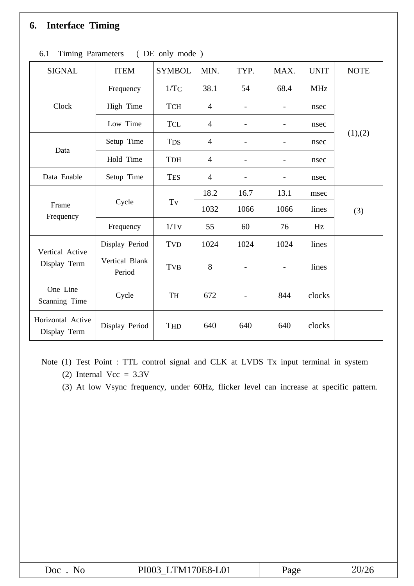# **6. Interface Timing**

| SIGNAL                            | <b>ITEM</b>              | <b>SYMBOL</b>       | MIN.           | TYP. | MAX.                     | <b>UNIT</b> | <b>NOTE</b> |
|-----------------------------------|--------------------------|---------------------|----------------|------|--------------------------|-------------|-------------|
| Clock                             | Frequency                | 1/TC                | 38.1           | 54   | 68.4                     | <b>MHz</b>  | (1),(2)     |
|                                   | High Time                | <b>TCH</b>          | $\overline{4}$ |      | $\overline{\phantom{a}}$ | nsec        |             |
|                                   | Low Time                 | <b>TCL</b>          | $\overline{4}$ |      | $\overline{\phantom{a}}$ | nsec        |             |
| Data                              | Setup Time               | <b>TDS</b>          | $\overline{4}$ |      |                          | nsec        |             |
|                                   | Hold Time                | <b>TDH</b>          | $\overline{4}$ |      |                          | nsec        |             |
| Data Enable                       | Setup Time               | <b>TES</b>          | $\overline{4}$ |      |                          | nsec        |             |
| Frame<br>Frequency                | Cycle                    | $\operatorname{Tv}$ | 18.2           | 16.7 | 13.1                     | msec        |             |
|                                   |                          |                     | 1032           | 1066 | 1066                     | lines       | (3)         |
|                                   | Frequency                | 1/Tv                | 55             | 60   | 76                       | Hz          |             |
| Vertical Active<br>Display Term   | Display Period           | TVD                 | 1024           | 1024 | 1024                     | lines       |             |
|                                   | Vertical Blank<br>Period | <b>TVB</b>          | 8              |      | $\overline{\phantom{a}}$ | lines       |             |
| One Line<br>Scanning Time         | Cycle                    | TH                  | 672            |      | 844                      | clocks      |             |
| Horizontal Active<br>Display Term | Display Period           | THD                 | 640            | 640  | 640                      | clocks      |             |

6.1 Timing Parameters ( DE only mode )

Note (1) Test Point : TTL control signal and CLK at LVDS Tx input terminal in system

(2) Internal  $Vec = 3.3V$ 

(3) At low Vsync frequency, under 60Hz, flicker level can increase at specific pattern.

| Doc | TM170E8-L01 | zage | Zb  |
|-----|-------------|------|-----|
| Nn  | PI003       |      | ZUF |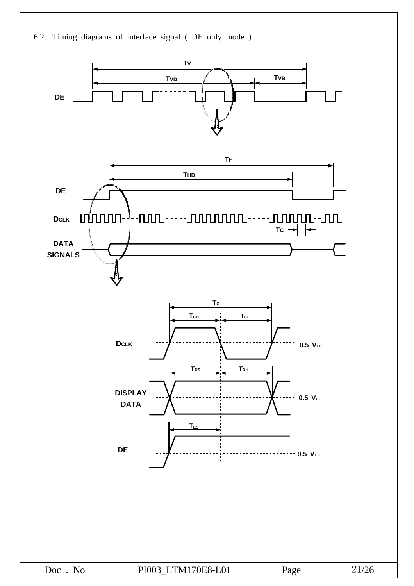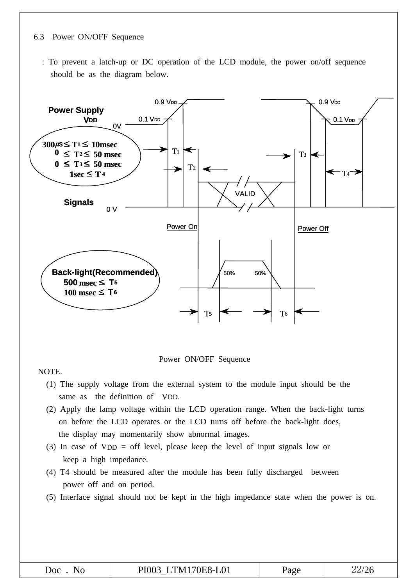#### 6.3 Power ON/OFF Sequence

: To prevent a latch-up or DC operation of the LCD module, the power on/off sequence should be as the diagram below.



Power ON/OFF Sequence

NOTE.

- (1) The supply voltage from the external system to the module input should be the same as the definition of VDD.
- (2) Apply the lamp voltage within the LCD operation range. When the back-light turns on before the LCD operates or the LCD turns off before the back-light does, the display may momentarily show abnormal images.
- (3) In case of VDD = off level, please keep the level of input signals low or keep a high impedance.
- (4) T4 should be measured after the module has been fully discharged between power off and on period.
- (5) Interface signal should not be kept in the high impedance state when the power is on.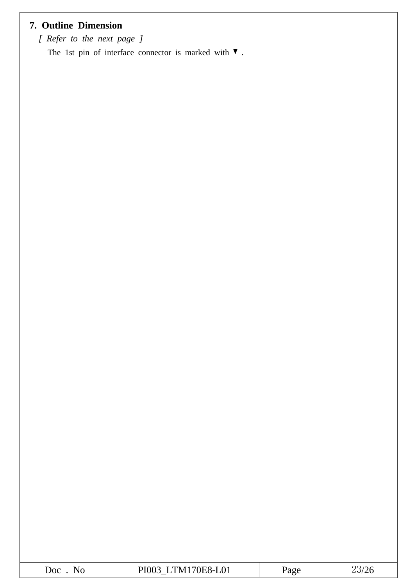# **7. Outline Dimension**

*[ Refer to the next page ]*

The 1st pin of interface connector is marked with  $\blacktriangledown$ .

| JOC<br>NJ 1 | M170E8-L01<br>DІ<br>. <i>.</i> |  |  |
|-------------|--------------------------------|--|--|
|-------------|--------------------------------|--|--|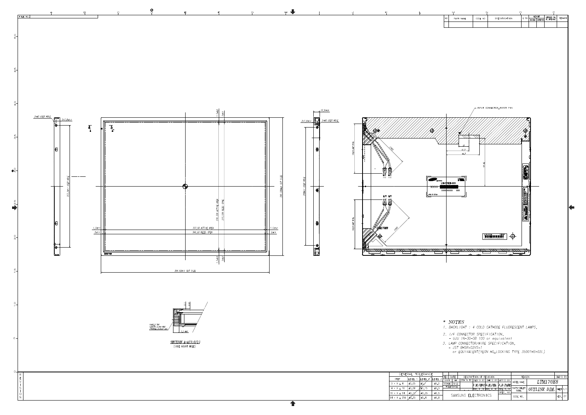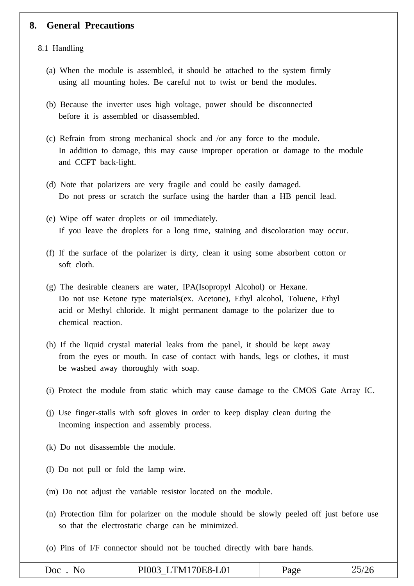#### **8. General Precautions**

#### 8.1 Handling

- (a) When the module is assembled, it should be attached to the system firmly using all mounting holes. Be careful not to twist or bend the modules.
- (b) Because the inverter uses high voltage, power should be disconnected before it is assembled or disassembled.
- (c) Refrain from strong mechanical shock and /or any force to the module. In addition to damage, this may cause improper operation or damage to the module and CCFT back-light.
- (d) Note that polarizers are very fragile and could be easily damaged. Do not press or scratch the surface using the harder than a HB pencil lead.
- (e) Wipe off water droplets or oil immediately. If you leave the droplets for a long time, staining and discoloration may occur.
- (f) If the surface of the polarizer is dirty, clean it using some absorbent cotton or soft cloth.
- (g) The desirable cleaners are water, IPA(Isopropyl Alcohol) or Hexane. Do not use Ketone type materials(ex. Acetone), Ethyl alcohol, Toluene, Ethyl acid or Methyl chloride. It might permanent damage to the polarizer due to chemical reaction.
- (h) If the liquid crystal material leaks from the panel, it should be kept away from the eyes or mouth. In case of contact with hands, legs or clothes, it must be washed away thoroughly with soap.
- (i) Protect the module from static which may cause damage to the CMOS Gate Array IC.
- (j) Use finger-stalls with soft gloves in order to keep display clean during the incoming inspection and assembly process.
- (k) Do not disassemble the module.
- (l) Do not pull or fold the lamp wire.
- (m) Do not adjust the variable resistor located on the module.
- (n) Protection film for polarizer on the module should be slowly peeled off just before use so that the electrostatic charge can be minimized.
- (o) Pins of I/F connector should not be touched directly with bare hands.

| JOC<br>w | $\mathbf{r}$ and $\mathbf{r}$<br>$\sim$ $\sim$<br>. N.<br>$\sim$ $\sim$ $\sim$<br>— U +<br>$\sim$ $\sim$<br>. <b>.</b> . | $\sim$<br>. d2r | ∼ |
|----------|--------------------------------------------------------------------------------------------------------------------------|-----------------|---|
|          |                                                                                                                          |                 |   |